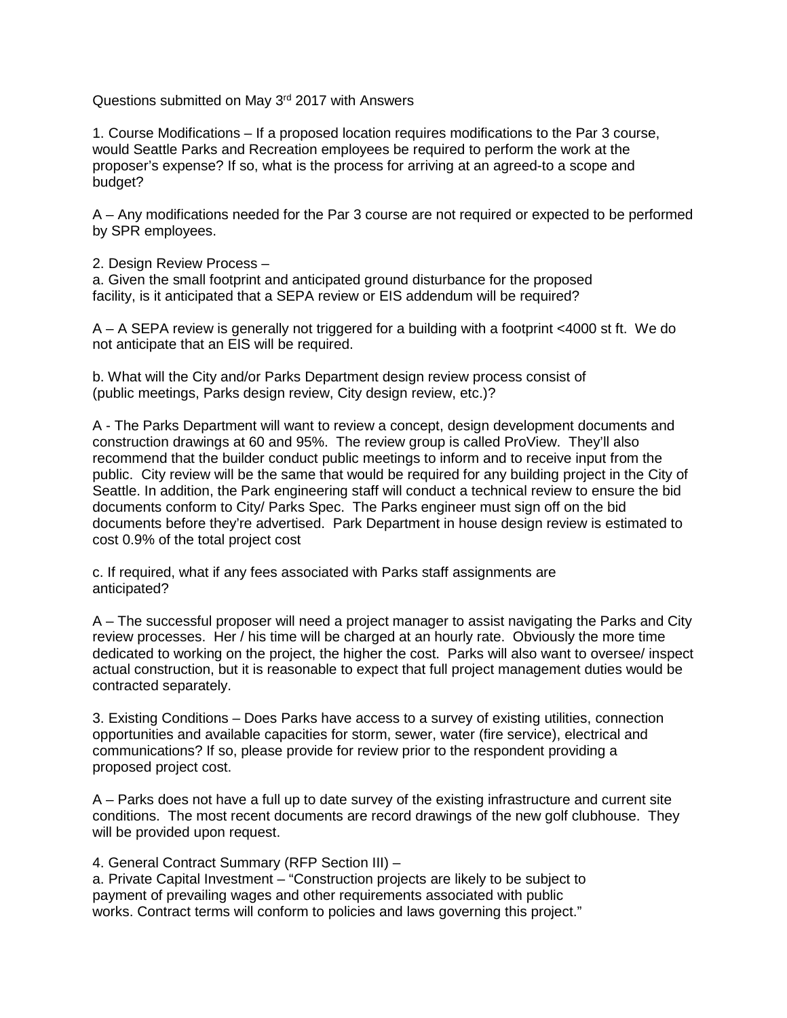Questions submitted on May 3<sup>rd</sup> 2017 with Answers

1. Course Modifications – If a proposed location requires modifications to the Par 3 course, would Seattle Parks and Recreation employees be required to perform the work at the proposer's expense? If so, what is the process for arriving at an agreed-to a scope and budget?

A – Any modifications needed for the Par 3 course are not required or expected to be performed by SPR employees.

2. Design Review Process –

a. Given the small footprint and anticipated ground disturbance for the proposed facility, is it anticipated that a SEPA review or EIS addendum will be required?

A – A SEPA review is generally not triggered for a building with a footprint <4000 st ft. We do not anticipate that an EIS will be required.

b. What will the City and/or Parks Department design review process consist of (public meetings, Parks design review, City design review, etc.)?

A - The Parks Department will want to review a concept, design development documents and construction drawings at 60 and 95%. The review group is called ProView. They'll also recommend that the builder conduct public meetings to inform and to receive input from the public. City review will be the same that would be required for any building project in the City of Seattle. In addition, the Park engineering staff will conduct a technical review to ensure the bid documents conform to City/ Parks Spec. The Parks engineer must sign off on the bid documents before they're advertised. Park Department in house design review is estimated to cost 0.9% of the total project cost

c. If required, what if any fees associated with Parks staff assignments are anticipated?

A – The successful proposer will need a project manager to assist navigating the Parks and City review processes. Her / his time will be charged at an hourly rate. Obviously the more time dedicated to working on the project, the higher the cost. Parks will also want to oversee/ inspect actual construction, but it is reasonable to expect that full project management duties would be contracted separately.

3. Existing Conditions – Does Parks have access to a survey of existing utilities, connection opportunities and available capacities for storm, sewer, water (fire service), electrical and communications? If so, please provide for review prior to the respondent providing a proposed project cost.

A – Parks does not have a full up to date survey of the existing infrastructure and current site conditions. The most recent documents are record drawings of the new golf clubhouse. They will be provided upon request.

4. General Contract Summary (RFP Section III) –

a. Private Capital Investment – "Construction projects are likely to be subject to payment of prevailing wages and other requirements associated with public works. Contract terms will conform to policies and laws governing this project."